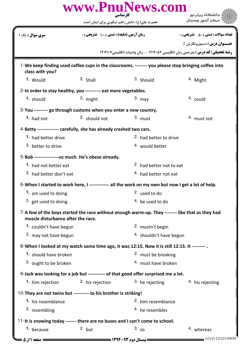|                                    | www.PnuNews.com                                                                                    |                                    |                                                                                                     |
|------------------------------------|----------------------------------------------------------------------------------------------------|------------------------------------|-----------------------------------------------------------------------------------------------------|
|                                    | کار شناسی<br>حضرت علی(ع): دانش راهبر نیکویی برای ایمان است                                         |                                    |                                                                                                     |
| <b>سری سوال :</b> یک ۱             | زمان آزمون (دقیقه) : تستی : ۱۰۰٪ تشریحی : ۰                                                        |                                    | <b>تعداد سوالات : تستي : 50 ٪ تشريحي : 0</b>                                                        |
|                                    |                                                                                                    |                                    | <b>2 عنـــوان درس :</b> دستورونگارش                                                                 |
|                                    |                                                                                                    |                                    | <b>رشته تحصیلی/کد درس :</b> مترجمی زبان انگلیسی ۱۲۱۲۰۵۲ - ، زبان وادبیات انگلیسی۱۲۱۲۱۰۹             |
| class with you?                    |                                                                                                    |                                    | 1-We keep finding used coffee cups in the classrooms. -------- you please stop bringing coffee into |
| 1. Would                           | 2. Shall                                                                                           | 3. Should                          | 4. Might                                                                                            |
|                                    | 2-In order to stay healthy, you ---------- eat more vegetables.                                    |                                    |                                                                                                     |
| 1. should                          | $2.$ might                                                                                         | $3.$ may                           | 4. could                                                                                            |
|                                    | 3-You --------- go through customs when you enter a new country.                                   |                                    |                                                                                                     |
| 1. had not                         | 2. should not                                                                                      | $3.$ must                          | 4. must not                                                                                         |
|                                    | 4-Betty -------------- carefully, she has already crashed two cars.                                |                                    |                                                                                                     |
| 1. had better drive                |                                                                                                    | <sup>2.</sup> had better to drive  |                                                                                                     |
| 3. better to drive                 |                                                                                                    | <sup>4.</sup> would better         |                                                                                                     |
|                                    | 5-Bob ----------------so much. He's obese already.                                                 |                                    |                                                                                                     |
| 1. had not better eat              |                                                                                                    | 2. had better not to eat           |                                                                                                     |
| 3. had better don't eat            |                                                                                                    | <sup>4.</sup> had better not eat   |                                                                                                     |
|                                    | 6-When I started to work here, I ------------- all the work on my own but now I get a lot of help. |                                    |                                                                                                     |
| 1. am used to doing                |                                                                                                    | <sup>2.</sup> used to do           |                                                                                                     |
| 3. get used to doing               |                                                                                                    | 4. be used to do                   |                                                                                                     |
| muscle disturbance after the race. | 7-A few of the boys started the race without enough warm-up. They -------- like that as they had   |                                    |                                                                                                     |
| 1. couldn't have begun             |                                                                                                    | <sup>2.</sup> mustn't begin        |                                                                                                     |
| 3. may not have begun              |                                                                                                    | <sup>4.</sup> shouldn't have begun |                                                                                                     |
|                                    | 8-When I looked at my watch some time ago, it was 12:15. Now it is still 12:15. It -------- .      |                                    |                                                                                                     |
| 1. should have broken              |                                                                                                    | <sup>2.</sup> must be breaking     |                                                                                                     |
| 3. ought to be broken              |                                                                                                    | 4. must have broken                |                                                                                                     |
|                                    | 9-Jack was looking for a job but ----------- of that good offer surprised me a lot.                |                                    |                                                                                                     |
| 1. him rejection                   | <sup>2</sup> his rejection                                                                         | $3.$ he rejecting                  | <sup>4</sup> his rejecting                                                                          |
|                                    | 10-They are not twins but --------- to his brother is striking!                                    |                                    |                                                                                                     |
| 1. his resemblance                 |                                                                                                    | <sup>2.</sup> him resemblance      |                                                                                                     |
| 3. resembling                      |                                                                                                    | $4.$ he resembles                  |                                                                                                     |
|                                    | 11-It is snowing today ------- there are no buses and I can't come to school.                      |                                    |                                                                                                     |
| 1. because                         | $2.$ but                                                                                           | 3.50                               | 4. whereas                                                                                          |
| : صفحه 1 از 5 =                    |                                                                                                    |                                    | 1010/101019909                                                                                      |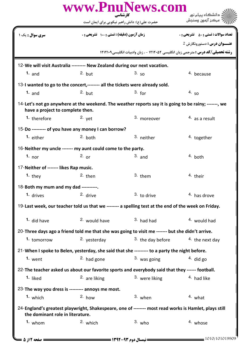|                                        | www.PnuNews.com                                                                                       | کارشناسی          | دانشگاه پیام نور<br>مركز آزمون وسنجش                                                    |
|----------------------------------------|-------------------------------------------------------------------------------------------------------|-------------------|-----------------------------------------------------------------------------------------|
|                                        | حضرت علی(ع): دانش راهبر نیکویی برای ایمان است                                                         |                   |                                                                                         |
| <b>سری سوال :</b> یک ۱                 | زمان آزمون (دقیقه) : تستی : 100 تشریحی : 0                                                            |                   | <b>تعداد سوالات : تستی : 50 ٪ تشریحی : 0</b><br><b>2 عنـــوان درس :</b> دستورونگارش     |
|                                        |                                                                                                       |                   | <b>رشته تحصیلی/کد درس :</b> مترجمی زبان انگلیسی ۱۲۱۲۰۵۲ - ، زبان وادبیات انگلیسی1۲۱۲۱۰۹ |
|                                        | 12-We will visit Australia --------- New Zealand during our next vacation.                            |                   |                                                                                         |
| $1.$ and                               | $2.$ but                                                                                              | 3.50              | 4. because                                                                              |
|                                        | 13-I wanted to go to the concert,-------- all the tickets were already sold.                          |                   |                                                                                         |
| 1. and                                 | $2.$ but                                                                                              | 3. for            | 4.50                                                                                    |
| have a project to complete then.       | 14-Let's not go anywhere at the weekend. The weather reports say it is going to be rainy; -------, we |                   |                                                                                         |
| 1. therefore                           | $2.$ yet                                                                                              | 3. moreover       | $4.$ as a result                                                                        |
|                                        | 15-Do --------- of you have any money I can borrow?                                                   |                   |                                                                                         |
| 1. either                              | $2.$ both                                                                                             | 3. neither        | <sup>4.</sup> together                                                                  |
|                                        | 16-Neither my uncle ------- my aunt could come to the party.                                          |                   |                                                                                         |
| 1. nor                                 | $2.$ or                                                                                               | $3.$ and          | $4.$ both                                                                               |
| 17-Neither of ------- likes Rap music. |                                                                                                       |                   |                                                                                         |
| 1. they                                | $2.$ then                                                                                             | 3. them           | 4. their                                                                                |
| 18-Both my mum and my dad ----------.  |                                                                                                       |                   |                                                                                         |
| 1. drives                              | 2. drive                                                                                              | $3.$ to drive     | 4. has drove                                                                            |
|                                        | 19-Last week, our teacher told us that we ------- a spelling test at the end of the week on Friday.   |                   |                                                                                         |
| 1. did have                            | <sup>2.</sup> would have                                                                              | $3.$ had had      | 4. would had                                                                            |
|                                        | 20-Three days ago a friend told me that she was going to visit me ------- but she didn't arrive.      |                   |                                                                                         |
| 1. tomorrow                            | 2. yesterday                                                                                          | 3. the day before | $4.$ the next day                                                                       |
|                                        | 21-When I spoke to Belen, yesterday, she said that she --------- to a party the night before.         |                   |                                                                                         |
| $1.$ went                              | <sup>2</sup> had gone                                                                                 | 3. was going      | $4.$ did go                                                                             |
|                                        | 22-The teacher asked us about our favorite sports and everybody said that they ------ football.       |                   |                                                                                         |
| 1. liked                               | <sup>2.</sup> are liking                                                                              | 3. were liking    | 4. had like                                                                             |
|                                        | 23-The way you dress is -------- annoys me most.                                                      |                   |                                                                                         |
| 1. which                               | $2.$ how                                                                                              | 3. when           | 4. what                                                                                 |
| the dominant role in literature.       | 24-England's greatest playwright, Shakespeare, one of -------- most read works is Hamlet, plays still |                   |                                                                                         |
| $1.$ whom                              | 2. which                                                                                              | $3.$ who          | 4. whose                                                                                |
| = صفحه 2 از 5 ــ                       |                                                                                                       |                   | 1010/101019909                                                                          |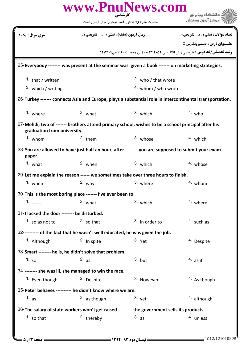| www.PnuNews.com<br>کارشناسی                                                                                                       |                                             |                                                                                                          |                                              |
|-----------------------------------------------------------------------------------------------------------------------------------|---------------------------------------------|----------------------------------------------------------------------------------------------------------|----------------------------------------------|
|                                                                                                                                   |                                             | حضرت علی(ع): دانش راهبر نیکویی برای ایمان است                                                            |                                              |
| <mark>سری سوال :</mark> یک ۱                                                                                                      | زمان آزمون (دقیقه) : تستی : ۱۰۰٪ تشریحی : ۰ |                                                                                                          | <b>تعداد سوالات : تستی : 50 ٪ تشریحی : 0</b> |
|                                                                                                                                   |                                             |                                                                                                          | $2\,$ عنـــوان درس : دستورونگارش             |
|                                                                                                                                   |                                             | <b>رشته تحصیلی/کد درس :</b> مترجمی زبان انگلیسی ۱۲۱۲۰۵۲ - ، زبان وادبیات انگلیسی1۲۱۲۱۰۹                  |                                              |
|                                                                                                                                   |                                             | 25-Everybody -------- was present at the seminar was given a book ------- on marketing strategies.       |                                              |
| 1. that / written                                                                                                                 |                                             | <sup>2.</sup> who / that wrote                                                                           |                                              |
| 3. which / writing                                                                                                                |                                             | 4. whom / who wrote                                                                                      |                                              |
|                                                                                                                                   |                                             | 26-Turkey ------- connects Asia and Europe, plays a substantial role in intercontinental transportation. |                                              |
| 1. where                                                                                                                          | $2.$ what                                   | $3.$ which                                                                                               | $4.$ who                                     |
| 27-Mehdi, two of ------- brothers attend primary school, wishes to be a school principal after his<br>graduation from university. |                                             |                                                                                                          |                                              |
| $1.$ whom                                                                                                                         | $2.$ them                                   | 3. whose                                                                                                 | $4.$ which                                   |
| paper.                                                                                                                            |                                             | 28-You are allowed to have just half an hour, after -------- you are supposed to submit your exam        |                                              |
| $1.$ what                                                                                                                         | $2.$ when                                   | $3.$ which                                                                                               | 4. whose                                     |
|                                                                                                                                   |                                             | 29-Let me explain the reason ------ we sometimes take over three hours to finish.                        |                                              |
| 1. when                                                                                                                           | $2.$ why                                    | 3. where                                                                                                 | 4. whom                                      |
| 30-This is the most boring place ------- I've ever been to.                                                                       |                                             |                                                                                                          |                                              |
| $1. \_ \_ \_ \_ \_ \_ \_ \_ \_$                                                                                                   | $2.$ what                                   | 3. which                                                                                                 | 4. where                                     |
| 31-I locked the door -------- be disturbed.                                                                                       |                                             |                                                                                                          |                                              |
| 1. so as not to                                                                                                                   | $2.5$ so that                               | 3. in order to                                                                                           | <sup>4.</sup> such as                        |
| 32---------- of the fact that he wasn't well educated, he was given the job.                                                      |                                             |                                                                                                          |                                              |
| 1. Although                                                                                                                       | <sup>2.</sup> In spite                      | $3.$ Yet                                                                                                 | <sup>4.</sup> Despite                        |
| 33-Smart -------- he is, he didn't solve that problem.                                                                            |                                             |                                                                                                          |                                              |
| 1. $50$                                                                                                                           | $2.$ as                                     | $3.$ but                                                                                                 | $4.$ as if                                   |
| 34--------- she was ill, she managed to win the race.                                                                             |                                             |                                                                                                          |                                              |
| 1. Even though                                                                                                                    | <sup>2.</sup> Despite                       | 3. However                                                                                               | <sup>4</sup> As though                       |
| 35-Peter behaves ---------- he didn't know where we are.                                                                          |                                             |                                                                                                          |                                              |
| 1. $as$                                                                                                                           | $2.$ as though                              | $3.$ yet                                                                                                 | 4. although                                  |
|                                                                                                                                   |                                             | 36-The salary of state workers won't get raised --------- the government sells its products.             |                                              |
| 1. so that                                                                                                                        | <sup>2.</sup> thereby                       | $3.$ as                                                                                                  | 4. unless                                    |
|                                                                                                                                   |                                             |                                                                                                          |                                              |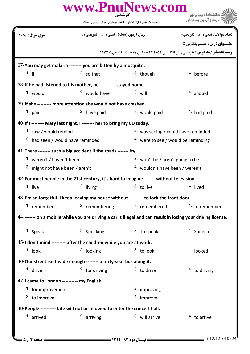|                                                                                                              | www.PnuNews.com<br>کارشناسی                                                              |                                               | دانشگاه پیام نور                                                                        |
|--------------------------------------------------------------------------------------------------------------|------------------------------------------------------------------------------------------|-----------------------------------------------|-----------------------------------------------------------------------------------------|
|                                                                                                              | حضرت علی(ع): دانش راهبر نیکویی برای ایمان است                                            |                                               | مركز آزمون وسنجش                                                                        |
| سری سوال : یک ۱                                                                                              | زمان آزمون (دقیقه) : تستی : ۱۰۰٪ تشریحی : ۰                                              |                                               | <b>تعداد سوالات : تستی : 50 ٪ تشریحی : 0</b>                                            |
|                                                                                                              |                                                                                          |                                               | <b>عنــوان درس :</b> دستورونگارش 2                                                      |
|                                                                                                              |                                                                                          |                                               | <b>رشته تحصیلی/کد درس :</b> مترجمی زبان انگلیسی ۱۲۱۲۰۵۲ - ، زبان وادبیات انگلیسی۱۲۱۲۱۰۹ |
|                                                                                                              | 37-You may get malaria -------- you are bitten by a mosquito.                            |                                               |                                                                                         |
| 1. if                                                                                                        | $2.5$ so that                                                                            | 3. though                                     | 4. before                                                                               |
|                                                                                                              | 38-If he had listened to his mother, he ---------- stayed home.                          |                                               |                                                                                         |
| 1. would                                                                                                     | 2. would have                                                                            | $3.$ will                                     | 4. should                                                                               |
|                                                                                                              | 39-If she --------- more attention she would not have crashed.                           |                                               |                                                                                         |
| 1. $paid$                                                                                                    | <sup>2</sup> have paid                                                                   | 3. would paid                                 | <sup>4</sup> had paid                                                                   |
|                                                                                                              | 40-If I -------- Mary last night, I -------- her to bring my CD today.                   |                                               |                                                                                         |
| 1. saw / would remind                                                                                        |                                                                                          | <sup>2</sup> was seeing / could have reminded |                                                                                         |
| 3. had seen / would have reminded                                                                            |                                                                                          | $4.$ were to see / would be reminding         |                                                                                         |
|                                                                                                              | 41-There -------- such a big accident if the roads ------- icy.                          |                                               |                                                                                         |
| 1. weren't / haven't been                                                                                    |                                                                                          | <sup>2</sup> won't be / aren't going to be    |                                                                                         |
| 3. might not have been / aren't                                                                              |                                                                                          | <sup>4.</sup> wouldn't have been / weren't    |                                                                                         |
|                                                                                                              | 42-For most people in the 21st century, it's hard to imagine ------- without television. |                                               |                                                                                         |
| 1. live                                                                                                      | 2. living                                                                                | $3.$ to live                                  | 4. lived                                                                                |
|                                                                                                              | 43-I'm so forgetful. I keep leaving my house without --------- to lock the front door.   |                                               |                                                                                         |
| 1. remember                                                                                                  | 2. remembering                                                                           | <sup>3.</sup> remembered                      | 4. to remember                                                                          |
| 44-------- on a mobile while you are driving a car is illegal and can result in losing your driving license. |                                                                                          |                                               |                                                                                         |
| 1. Speak                                                                                                     | 2. Speaking                                                                              | 3. To speak                                   | <sup>4</sup> Speech                                                                     |
|                                                                                                              | 45-I don't mind --------- after the children while you are at work.                      |                                               |                                                                                         |
| $1.$ look                                                                                                    | <sup>2.</sup> looking                                                                    | $3.$ to look                                  | <sup>4.</sup> looked                                                                    |
| 46-Our street isn't wide enough -------- a forty-seat bus along it.                                          |                                                                                          |                                               |                                                                                         |
| 1. drive                                                                                                     | $2.$ for driving                                                                         | $3.$ to drive                                 | $4.$ to driving                                                                         |
| 47-I came to London ---------- my English.                                                                   |                                                                                          |                                               |                                                                                         |
| 1. for improvement                                                                                           |                                                                                          | <sup>2.</sup> improving                       |                                                                                         |
| 3. to improve                                                                                                |                                                                                          | 4. improve                                    |                                                                                         |
|                                                                                                              | 48-People ---------- late will not be allowed to enter the concert hall.                 |                                               |                                                                                         |
| 1. arrived                                                                                                   | 2. arriving                                                                              | 3. will arrive                                | 4. to arrive                                                                            |